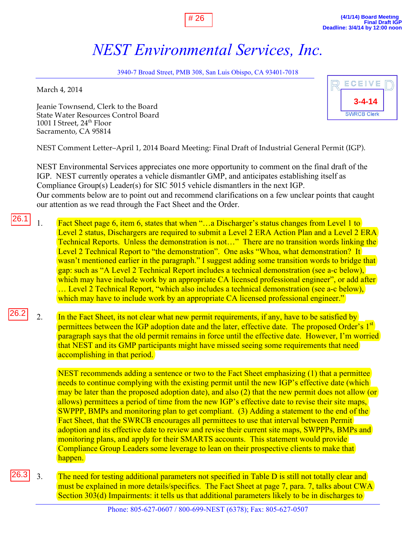## *NEST Environmental Services, Inc.*

# 26

3940-7 Broad Street, PMB 308, San Luis Obispo, CA 93401-7018

March 4, 2014

Jeanie Townsend, Clerk to the Board State Water Resources Control Board 1001 I Street,  $24<sup>th</sup>$  Floor Sacramento, CA 95814



NEST Comment Letter–April 1, 2014 Board Meeting: Final Draft of Industrial General Permit (IGP).

NEST Environmental Services appreciates one more opportunity to comment on the final draft of the IGP. NEST currently operates a vehicle dismantler GMP, and anticipates establishing itself as Compliance Group(s) Leader(s) for SIC 5015 vehicle dismantlers in the next IGP. Our comments below are to point out and recommend clarifications on a few unclear points that caught our attention as we read through the Fact Sheet and the Order.

- 1. Fact Sheet page 6, item 6, states that when "…a Discharger's status changes from Level 1 to Level 2 status, Dischargers are required to submit a Level 2 ERA Action Plan and a Level 2 ERA Technical Reports. Unless the demonstration is not…" There are no transition words linking the Level 2 Technical Report to "the demonstration". One asks "Whoa, what demonstration? It wasn't mentioned earlier in the paragraph." I suggest adding some transition words to bridge that gap: such as "A Level 2 Technical Report includes a technical demonstration (see a-c below), which may have include work by an appropriate CA licensed professional engineer", or add after … Level 2 Technical Report, "which also includes a technical demonstration (see a-c below), which may have to include work by an appropriate CA licensed professional engineer." 26.1
- 2. In the Fact Sheet, its not clear what new permit requirements, if any, have to be satisfied by permittees between the IGP adoption date and the later, effective date. The proposed Order's 1<sup>st</sup> paragraph says that the old permit remains in force until the effective date. However, I'm worried that NEST and its GMP participants might have missed seeing some requirements that need accomplishing in that period. 26.2

NEST recommends adding a sentence or two to the Fact Sheet emphasizing (1) that a permittee needs to continue complying with the existing permit until the new IGP's effective date (which) may be later than the proposed adoption date), and also (2) that the new permit does not allow (or allows) permittees a period of time from the new IGP's effective date to revise their site maps, SWPPP, BMPs and monitoring plan to get compliant. (3) Adding a statement to the end of the Fact Sheet, that the SWRCB encourages all permittees to use that interval between Permit adoption and its effective date to review and revise their current site maps, SWPPPs, BMPs and monitoring plans, and apply for their SMARTS accounts. This statement would provide Compliance Group Leaders some leverage to lean on their prospective clients to make that happen.

3. The need for testing additional parameters not specified in Table D is still not totally clear and must be explained in more details/specifics. The Fact Sheet at page 7, para. 7, talks about CWA Section 303(d) Impairments: it tells us that additional parameters likely to be in discharges to 26.3